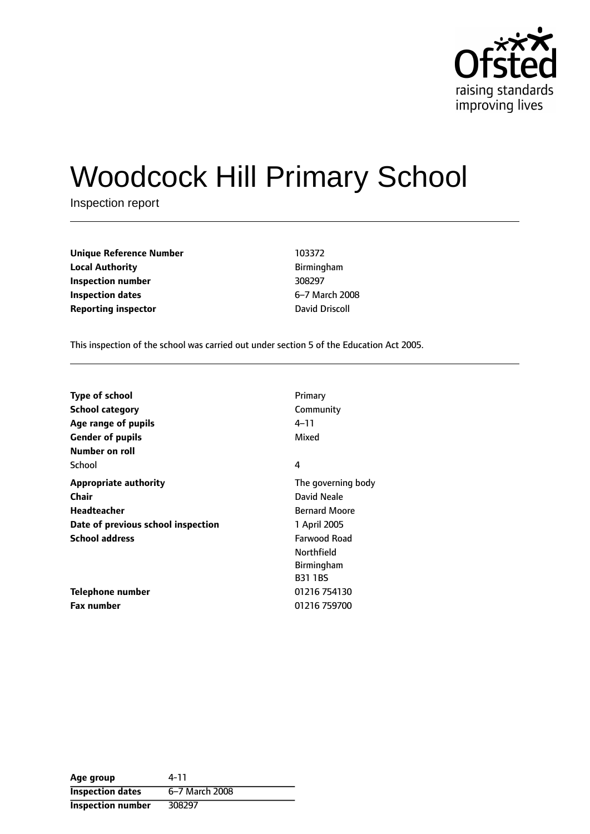

# Woodcock Hill Primary School

Inspection report

| <b>Unique Reference Number</b> | 103372         |
|--------------------------------|----------------|
| <b>Local Authority</b>         | Birmingham     |
| Inspection number              | 308297         |
| Inspection dates               | 6-7 March 20   |
| <b>Reporting inspector</b>     | David Driscoll |

**Local Authority** Birmingham **Inspection number** 308297 **6-7 March 2008** 

This inspection of the school was carried out under section 5 of the Education Act 2005.

| <b>Type of school</b>              | Primary              |
|------------------------------------|----------------------|
| School category                    | Community            |
| Age range of pupils                | 4–11                 |
| <b>Gender of pupils</b>            | Mixed                |
| Number on roll                     |                      |
| School                             | 4                    |
| <b>Appropriate authority</b>       | The governing body   |
| <b>Chair</b>                       | David Neale          |
| Headteacher                        | <b>Bernard Moore</b> |
| Date of previous school inspection | 1 April 2005         |
| <b>School address</b>              | Farwood Road         |
|                                    | Northfield           |
|                                    | <b>Birmingham</b>    |
|                                    | <b>B31 1BS</b>       |
| Telephone number                   | 01216 754130         |
| <b>Fax number</b>                  | 01216 759700         |

| Age group               | 4-11           |
|-------------------------|----------------|
| <b>Inspection dates</b> | 6-7 March 2008 |
| Inspection number       | 308297         |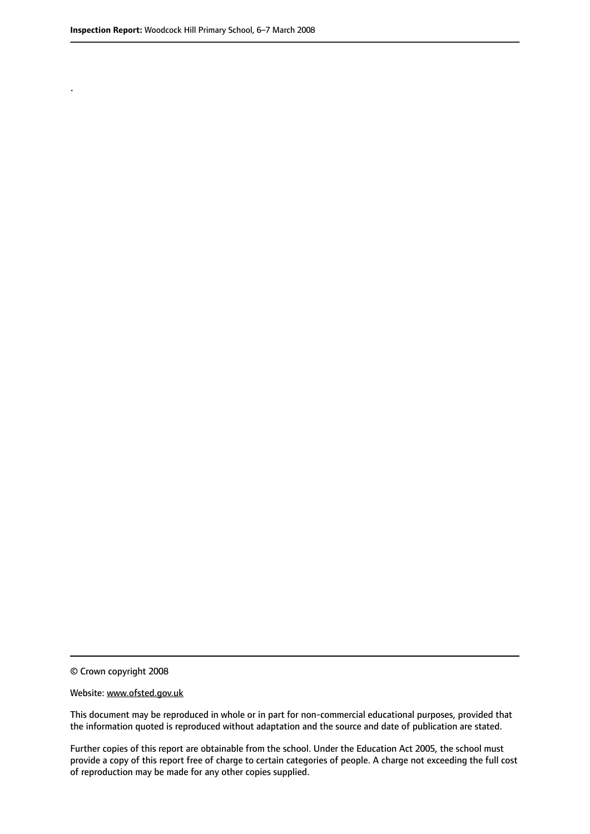.

© Crown copyright 2008

#### Website: www.ofsted.gov.uk

This document may be reproduced in whole or in part for non-commercial educational purposes, provided that the information quoted is reproduced without adaptation and the source and date of publication are stated.

Further copies of this report are obtainable from the school. Under the Education Act 2005, the school must provide a copy of this report free of charge to certain categories of people. A charge not exceeding the full cost of reproduction may be made for any other copies supplied.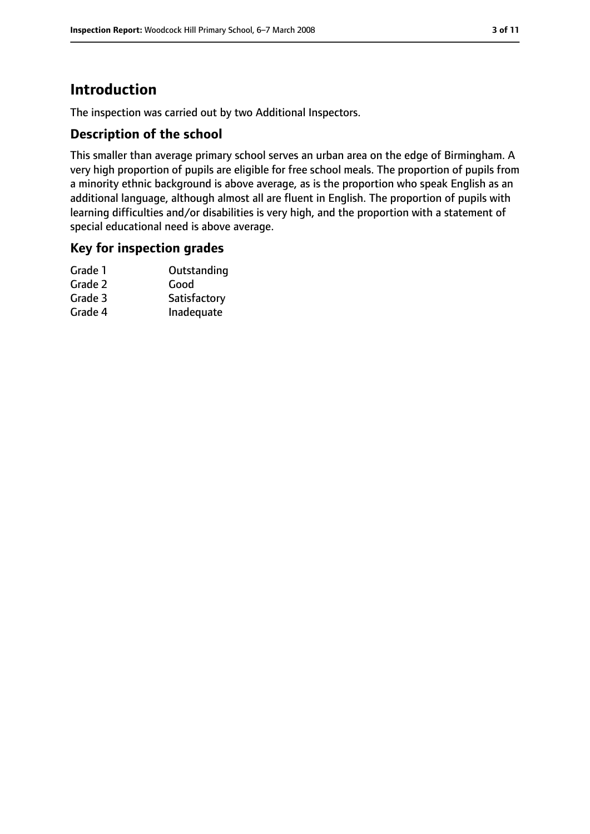# **Introduction**

The inspection was carried out by two Additional Inspectors.

## **Description of the school**

This smaller than average primary school serves an urban area on the edge of Birmingham. A very high proportion of pupils are eligible for free school meals. The proportion of pupils from a minority ethnic background is above average, as is the proportion who speak English as an additional language, although almost all are fluent in English. The proportion of pupils with learning difficulties and/or disabilities is very high, and the proportion with a statement of special educational need is above average.

#### **Key for inspection grades**

| Grade 1 | Outstanding  |
|---------|--------------|
| Grade 2 | Good         |
| Grade 3 | Satisfactory |
| Grade 4 | Inadequate   |
|         |              |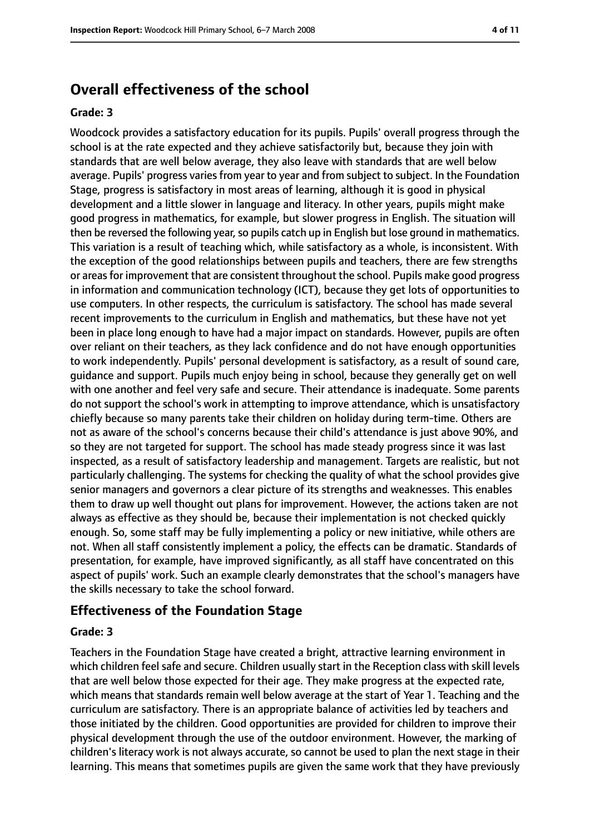## **Overall effectiveness of the school**

#### **Grade: 3**

Woodcock provides a satisfactory education for its pupils. Pupils' overall progress through the school is at the rate expected and they achieve satisfactorily but, because they join with standards that are well below average, they also leave with standards that are well below average. Pupils' progress varies from year to year and from subject to subject. In the Foundation Stage, progress is satisfactory in most areas of learning, although it is good in physical development and a little slower in language and literacy. In other years, pupils might make good progress in mathematics, for example, but slower progress in English. The situation will then be reversed the following year, so pupils catch up in English but lose ground in mathematics. This variation is a result of teaching which, while satisfactory as a whole, is inconsistent. With the exception of the good relationships between pupils and teachers, there are few strengths or areas for improvement that are consistent throughout the school. Pupils make good progress in information and communication technology (ICT), because they get lots of opportunities to use computers. In other respects, the curriculum is satisfactory. The school has made several recent improvements to the curriculum in English and mathematics, but these have not yet been in place long enough to have had a major impact on standards. However, pupils are often over reliant on their teachers, as they lack confidence and do not have enough opportunities to work independently. Pupils' personal development is satisfactory, as a result of sound care, guidance and support. Pupils much enjoy being in school, because they generally get on well with one another and feel very safe and secure. Their attendance is inadequate. Some parents do not support the school's work in attempting to improve attendance, which is unsatisfactory chiefly because so many parents take their children on holiday during term-time. Others are not as aware of the school's concerns because their child's attendance is just above 90%, and so they are not targeted for support. The school has made steady progress since it was last inspected, as a result of satisfactory leadership and management. Targets are realistic, but not particularly challenging. The systems for checking the quality of what the school provides give senior managers and governors a clear picture of its strengths and weaknesses. This enables them to draw up well thought out plans for improvement. However, the actions taken are not always as effective as they should be, because their implementation is not checked quickly enough. So, some staff may be fully implementing a policy or new initiative, while others are not. When all staff consistently implement a policy, the effects can be dramatic. Standards of presentation, for example, have improved significantly, as all staff have concentrated on this aspect of pupils' work. Such an example clearly demonstrates that the school's managers have the skills necessary to take the school forward.

#### **Effectiveness of the Foundation Stage**

#### **Grade: 3**

Teachers in the Foundation Stage have created a bright, attractive learning environment in which children feel safe and secure. Children usually start in the Reception class with skill levels that are well below those expected for their age. They make progress at the expected rate, which means that standards remain well below average at the start of Year 1. Teaching and the curriculum are satisfactory. There is an appropriate balance of activities led by teachers and those initiated by the children. Good opportunities are provided for children to improve their physical development through the use of the outdoor environment. However, the marking of children's literacy work is not always accurate, so cannot be used to plan the next stage in their learning. This means that sometimes pupils are given the same work that they have previously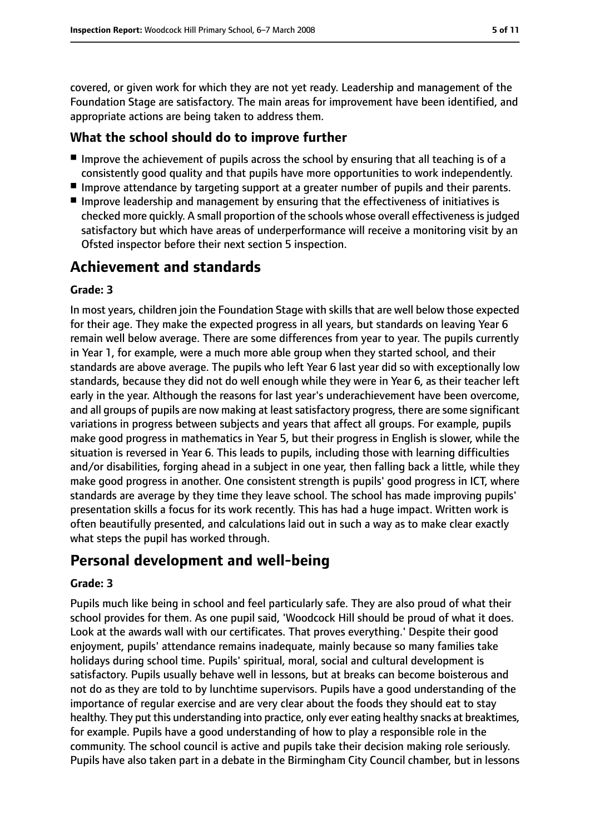covered, or given work for which they are not yet ready. Leadership and management of the Foundation Stage are satisfactory. The main areas for improvement have been identified, and appropriate actions are being taken to address them.

## **What the school should do to improve further**

- Improve the achievement of pupils across the school by ensuring that all teaching is of a consistently good quality and that pupils have more opportunities to work independently.
- Improve attendance by targeting support at a greater number of pupils and their parents.
- Improve leadership and management by ensuring that the effectiveness of initiatives is checked more quickly. A small proportion of the schools whose overall effectivenessisjudged satisfactory but which have areas of underperformance will receive a monitoring visit by an Ofsted inspector before their next section 5 inspection.

## **Achievement and standards**

#### **Grade: 3**

In most years, children join the Foundation Stage with skills that are well below those expected for their age. They make the expected progress in all years, but standards on leaving Year 6 remain well below average. There are some differences from year to year. The pupils currently in Year 1, for example, were a much more able group when they started school, and their standards are above average. The pupils who left Year 6 last year did so with exceptionally low standards, because they did not do well enough while they were in Year 6, as their teacher left early in the year. Although the reasons for last year's underachievement have been overcome, and all groups of pupils are now making at least satisfactory progress, there are some significant variations in progress between subjects and years that affect all groups. For example, pupils make good progress in mathematics in Year 5, but their progress in English is slower, while the situation is reversed in Year 6. This leads to pupils, including those with learning difficulties and/or disabilities, forging ahead in a subject in one year, then falling back a little, while they make good progress in another. One consistent strength is pupils' good progress in ICT, where standards are average by they time they leave school. The school has made improving pupils' presentation skills a focus for its work recently. This has had a huge impact. Written work is often beautifully presented, and calculations laid out in such a way as to make clear exactly what steps the pupil has worked through.

## **Personal development and well-being**

#### **Grade: 3**

Pupils much like being in school and feel particularly safe. They are also proud of what their school provides for them. As one pupil said, 'Woodcock Hill should be proud of what it does. Look at the awards wall with our certificates. That proves everything.' Despite their good enjoyment, pupils' attendance remains inadequate, mainly because so many families take holidays during school time. Pupils' spiritual, moral, social and cultural development is satisfactory. Pupils usually behave well in lessons, but at breaks can become boisterous and not do as they are told to by lunchtime supervisors. Pupils have a good understanding of the importance of regular exercise and are very clear about the foods they should eat to stay healthy. They put this understanding into practice, only ever eating healthy snacks at breaktimes, for example. Pupils have a good understanding of how to play a responsible role in the community. The school council is active and pupils take their decision making role seriously. Pupils have also taken part in a debate in the Birmingham City Council chamber, but in lessons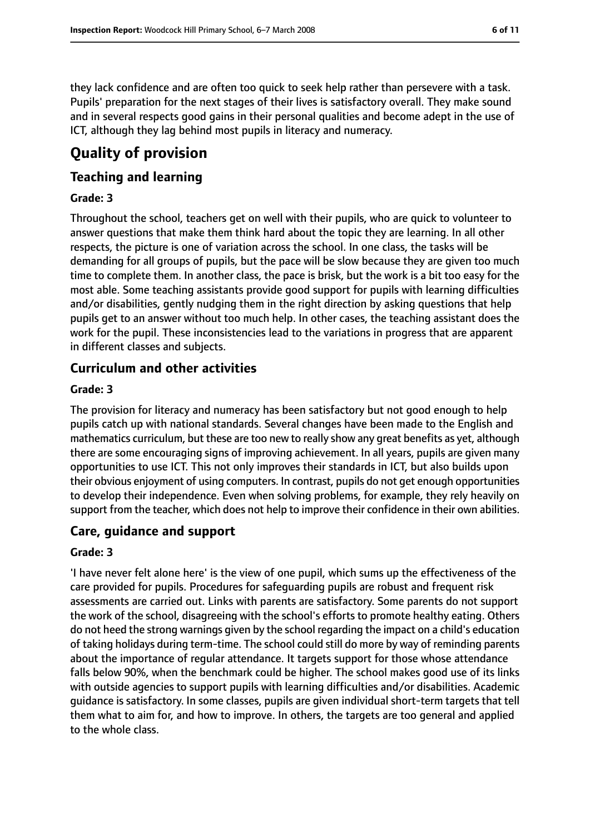they lack confidence and are often too quick to seek help rather than persevere with a task. Pupils' preparation for the next stages of their lives is satisfactory overall. They make sound and in several respects good gains in their personal qualities and become adept in the use of ICT, although they lag behind most pupils in literacy and numeracy.

# **Quality of provision**

## **Teaching and learning**

#### **Grade: 3**

Throughout the school, teachers get on well with their pupils, who are quick to volunteer to answer questions that make them think hard about the topic they are learning. In all other respects, the picture is one of variation across the school. In one class, the tasks will be demanding for all groups of pupils, but the pace will be slow because they are given too much time to complete them. In another class, the pace is brisk, but the work is a bit too easy for the most able. Some teaching assistants provide good support for pupils with learning difficulties and/or disabilities, gently nudging them in the right direction by asking questions that help pupils get to an answer without too much help. In other cases, the teaching assistant does the work for the pupil. These inconsistencies lead to the variations in progress that are apparent in different classes and subjects.

## **Curriculum and other activities**

#### **Grade: 3**

The provision for literacy and numeracy has been satisfactory but not good enough to help pupils catch up with national standards. Several changes have been made to the English and mathematics curriculum, but these are too new to really show any great benefits as yet, although there are some encouraging signs of improving achievement. In all years, pupils are given many opportunities to use ICT. This not only improves their standards in ICT, but also builds upon their obvious enjoyment of using computers. In contrast, pupils do not get enough opportunities to develop their independence. Even when solving problems, for example, they rely heavily on support from the teacher, which does not help to improve their confidence in their own abilities.

#### **Care, guidance and support**

#### **Grade: 3**

'I have never felt alone here' is the view of one pupil, which sums up the effectiveness of the care provided for pupils. Procedures for safeguarding pupils are robust and frequent risk assessments are carried out. Links with parents are satisfactory. Some parents do not support the work of the school, disagreeing with the school's efforts to promote healthy eating. Others do not heed the strong warnings given by the school regarding the impact on a child's education of taking holidays during term-time. The school could still do more by way of reminding parents about the importance of regular attendance. It targets support for those whose attendance falls below 90%, when the benchmark could be higher. The school makes good use of its links with outside agencies to support pupils with learning difficulties and/or disabilities. Academic guidance is satisfactory. In some classes, pupils are given individual short-term targets that tell them what to aim for, and how to improve. In others, the targets are too general and applied to the whole class.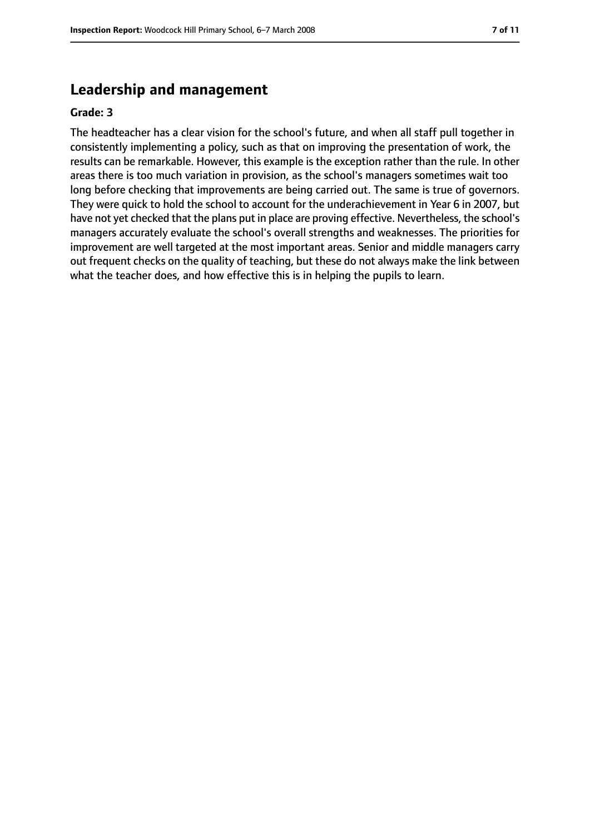## **Leadership and management**

#### **Grade: 3**

The headteacher has a clear vision for the school's future, and when all staff pull together in consistently implementing a policy, such as that on improving the presentation of work, the results can be remarkable. However, this example is the exception rather than the rule. In other areas there is too much variation in provision, as the school's managers sometimes wait too long before checking that improvements are being carried out. The same is true of governors. They were quick to hold the school to account for the underachievement in Year 6 in 2007, but have not yet checked that the plans put in place are proving effective. Nevertheless, the school's managers accurately evaluate the school's overall strengths and weaknesses. The priorities for improvement are well targeted at the most important areas. Senior and middle managers carry out frequent checks on the quality of teaching, but these do not always make the link between what the teacher does, and how effective this is in helping the pupils to learn.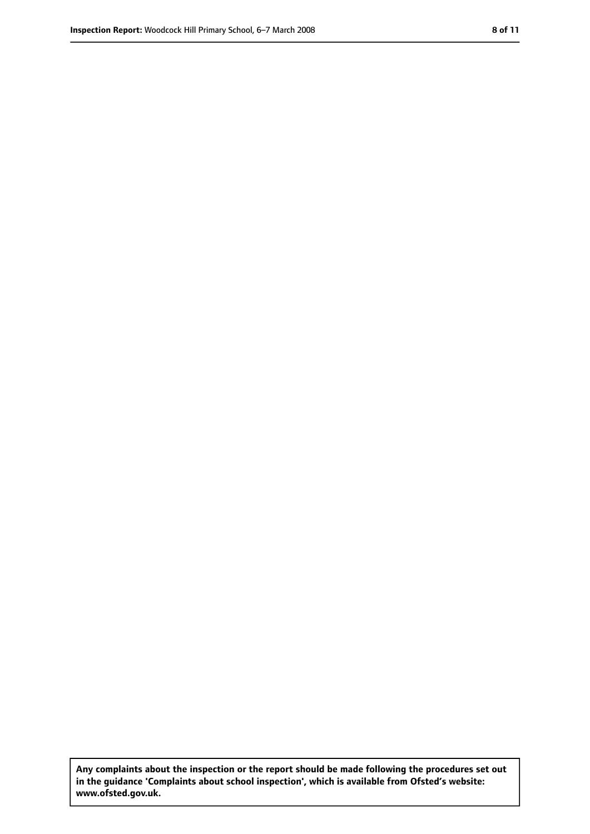**Any complaints about the inspection or the report should be made following the procedures set out in the guidance 'Complaints about school inspection', which is available from Ofsted's website: www.ofsted.gov.uk.**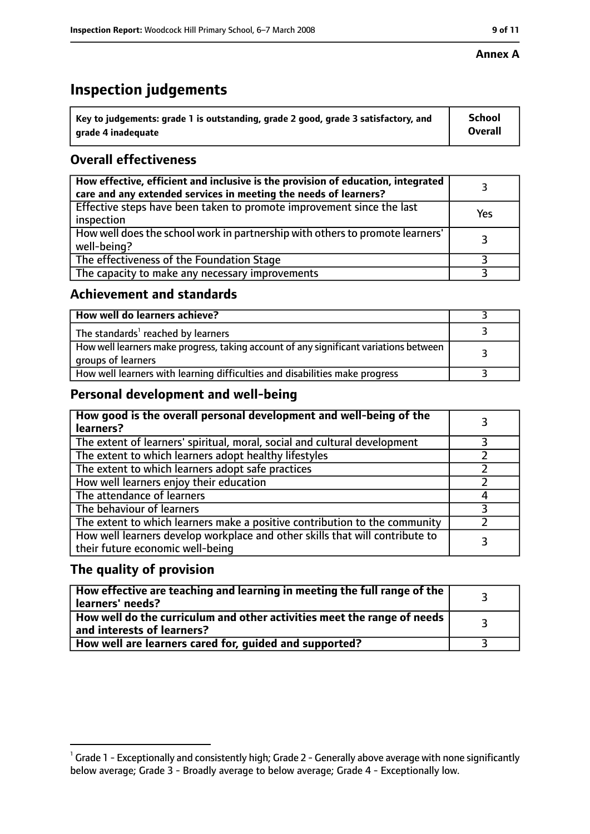#### **Annex A**

# **Inspection judgements**

| $^{\circ}$ Key to judgements: grade 1 is outstanding, grade 2 good, grade 3 satisfactory, and | School         |
|-----------------------------------------------------------------------------------------------|----------------|
| arade 4 inadequate                                                                            | <b>Overall</b> |

## **Overall effectiveness**

| How effective, efficient and inclusive is the provision of education, integrated<br>care and any extended services in meeting the needs of learners? |     |
|------------------------------------------------------------------------------------------------------------------------------------------------------|-----|
| Effective steps have been taken to promote improvement since the last<br>inspection                                                                  | Yes |
| How well does the school work in partnership with others to promote learners'<br>well-being?                                                         |     |
| The effectiveness of the Foundation Stage                                                                                                            |     |
| The capacity to make any necessary improvements                                                                                                      |     |

#### **Achievement and standards**

| How well do learners achieve?                                                                               |  |
|-------------------------------------------------------------------------------------------------------------|--|
| The standards <sup>1</sup> reached by learners                                                              |  |
| How well learners make progress, taking account of any significant variations between<br>groups of learners |  |
| How well learners with learning difficulties and disabilities make progress                                 |  |

## **Personal development and well-being**

| How good is the overall personal development and well-being of the<br>learners?                                  |  |
|------------------------------------------------------------------------------------------------------------------|--|
| The extent of learners' spiritual, moral, social and cultural development                                        |  |
| The extent to which learners adopt healthy lifestyles                                                            |  |
| The extent to which learners adopt safe practices                                                                |  |
| How well learners enjoy their education                                                                          |  |
| The attendance of learners                                                                                       |  |
| The behaviour of learners                                                                                        |  |
| The extent to which learners make a positive contribution to the community                                       |  |
| How well learners develop workplace and other skills that will contribute to<br>their future economic well-being |  |

## **The quality of provision**

| How effective are teaching and learning in meeting the full range of the<br>learners' needs?          |  |
|-------------------------------------------------------------------------------------------------------|--|
| How well do the curriculum and other activities meet the range of needs<br>and interests of learners? |  |
| How well are learners cared for, guided and supported?                                                |  |

 $^1$  Grade 1 - Exceptionally and consistently high; Grade 2 - Generally above average with none significantly below average; Grade 3 - Broadly average to below average; Grade 4 - Exceptionally low.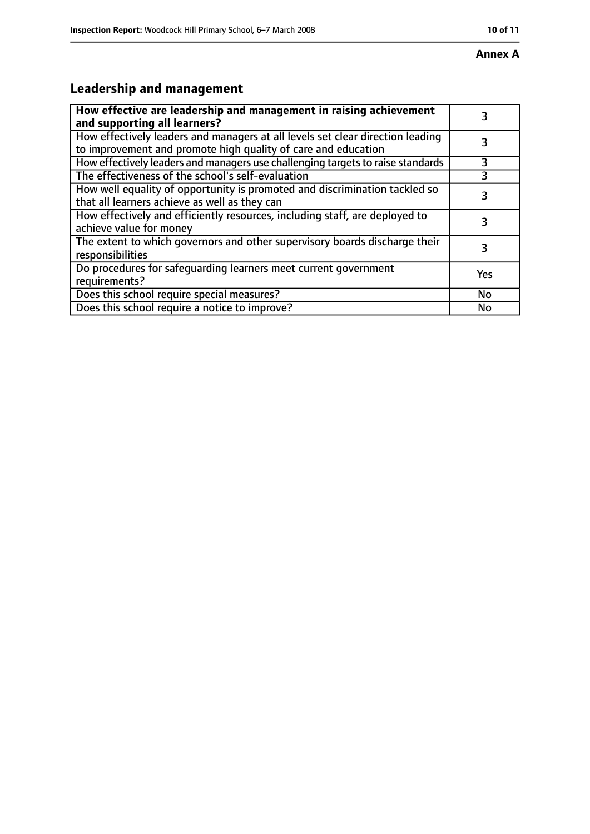# **Leadership and management**

| How effective are leadership and management in raising achievement<br>and supporting all learners?                                              | 3         |
|-------------------------------------------------------------------------------------------------------------------------------------------------|-----------|
| How effectively leaders and managers at all levels set clear direction leading<br>to improvement and promote high quality of care and education |           |
| How effectively leaders and managers use challenging targets to raise standards                                                                 | 3         |
| The effectiveness of the school's self-evaluation                                                                                               | 3         |
| How well equality of opportunity is promoted and discrimination tackled so<br>that all learners achieve as well as they can                     | 3         |
| How effectively and efficiently resources, including staff, are deployed to<br>achieve value for money                                          | 3         |
| The extent to which governors and other supervisory boards discharge their<br>responsibilities                                                  | 3         |
| Do procedures for safequarding learners meet current government<br>requirements?                                                                | Yes       |
| Does this school require special measures?                                                                                                      | <b>No</b> |
| Does this school require a notice to improve?                                                                                                   | No        |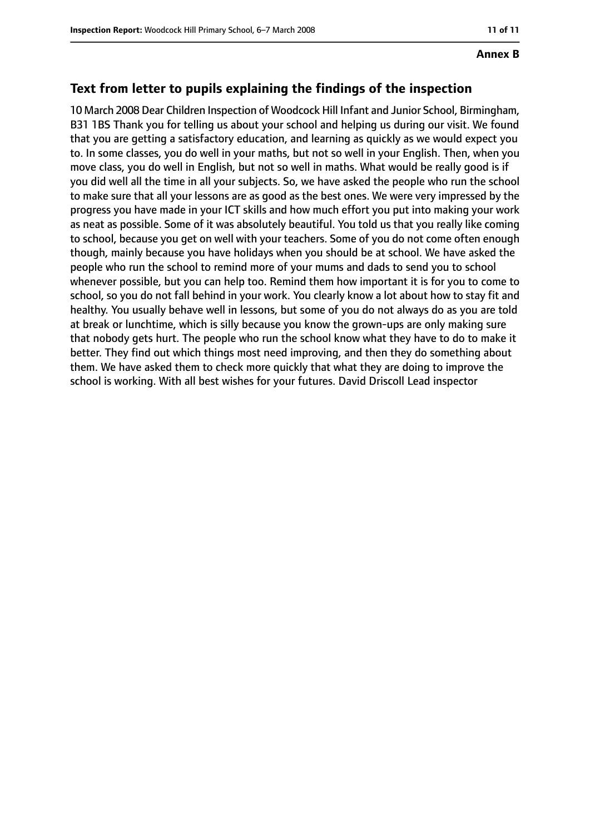## **Text from letter to pupils explaining the findings of the inspection**

10 March 2008 Dear Children Inspection of Woodcock Hill Infant and Junior School, Birmingham, B31 1BS Thank you for telling us about your school and helping us during our visit. We found that you are getting a satisfactory education, and learning as quickly as we would expect you to. In some classes, you do well in your maths, but not so well in your English. Then, when you move class, you do well in English, but not so well in maths. What would be really good is if you did well all the time in all your subjects. So, we have asked the people who run the school to make sure that all your lessons are as good as the best ones. We were very impressed by the progress you have made in your ICT skills and how much effort you put into making your work as neat as possible. Some of it was absolutely beautiful. You told us that you really like coming to school, because you get on well with your teachers. Some of you do not come often enough though, mainly because you have holidays when you should be at school. We have asked the people who run the school to remind more of your mums and dads to send you to school whenever possible, but you can help too. Remind them how important it is for you to come to school, so you do not fall behind in your work. You clearly know a lot about how to stay fit and healthy. You usually behave well in lessons, but some of you do not always do as you are told at break or lunchtime, which is silly because you know the grown-ups are only making sure that nobody gets hurt. The people who run the school know what they have to do to make it better. They find out which things most need improving, and then they do something about them. We have asked them to check more quickly that what they are doing to improve the school is working. With all best wishes for your futures. David Driscoll Lead inspector